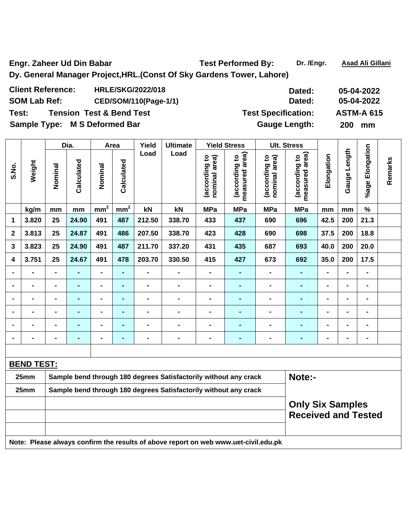Engr. Zaheer Ud Din Babar **Test Performed By:** Dr. /Engr. Asad Ali Gillani **Dy. General Manager Project,HRL.(Const Of Sky Gardens Tower, Lahore)** 

| <b>Client Reference:</b>      | <b>HRLE/SKG/2022/018</b>            | Dated:                     | 05-04-2022        |
|-------------------------------|-------------------------------------|----------------------------|-------------------|
| <b>SOM Lab Ref:</b>           | CED/SOM/110(Page-1/1)               | Dated:                     | 05-04-2022        |
| Test:                         | <b>Tension Test &amp; Bend Test</b> | <b>Test Specification:</b> | <b>ASTM-A 615</b> |
| Sample Type: M S Deformed Bar |                                     | <b>Gauge Length:</b>       | 200 mm            |

|                |                   |                | Dia.           |                 | Area           | Yield                                                                      | <b>Ultimate</b>                                                  |                                | <b>Yield Stress</b>             |                                | <b>Ult. Stress</b>              |                |                   |                              |         |  |
|----------------|-------------------|----------------|----------------|-----------------|----------------|----------------------------------------------------------------------------|------------------------------------------------------------------|--------------------------------|---------------------------------|--------------------------------|---------------------------------|----------------|-------------------|------------------------------|---------|--|
| S.No.          | Weight            | Nominal        | Calculated     | Nominal         | Calculated     | Load                                                                       | Load                                                             | (according to<br>nominal area) | measured area)<br>(according to | (according to<br>nominal area) | measured area)<br>(according to | Elongation     | Length<br>Gauge I | %age Elongation              | Remarks |  |
|                | kg/m              | mm             | mm             | mm <sup>2</sup> | $mm^2$         | kN                                                                         | kN                                                               | <b>MPa</b>                     | <b>MPa</b>                      | <b>MPa</b>                     | <b>MPa</b>                      | mm             | mm                | $\%$                         |         |  |
| 1              | 3.820             | 25             | 24.90          | 491             | 487            | 212.50                                                                     | 338.70                                                           | 433                            | 437                             | 690                            | 696                             | 42.5           | 200               | 21.3                         |         |  |
| $\mathbf{2}$   | 3.813             | 25             | 24.87          | 491             | 486            | 207.50                                                                     | 338.70                                                           | 423                            | 428                             | 690                            | 698                             | 37.5           | 200               | 18.8                         |         |  |
| 3              | 3.823             | 25             | 24.90          | 491             | 487            | 211.70                                                                     | 337.20                                                           | 431                            | 435                             | 687                            | 693                             | 40.0           | 200               | 20.0                         |         |  |
| 4              | 3.751             | 25             | 24.67          | 491             | 478            | 203.70                                                                     | 330.50                                                           | 415                            | 427                             | 673                            | 692                             | 35.0           | 200               | 17.5                         |         |  |
|                | $\blacksquare$    | $\blacksquare$ | $\blacksquare$ | $\blacksquare$  | Ξ,             | $\blacksquare$                                                             | $\blacksquare$                                                   | $\blacksquare$                 | $\blacksquare$                  | $\blacksquare$                 | $\blacksquare$                  | $\blacksquare$ | $\blacksquare$    | $\qquad \qquad \blacksquare$ |         |  |
|                |                   | $\blacksquare$ | $\blacksquare$ | -               | $\blacksquare$ |                                                                            | $\blacksquare$                                                   | $\blacksquare$                 | $\blacksquare$                  | $\blacksquare$                 | $\blacksquare$                  | $\blacksquare$ |                   | $\blacksquare$               |         |  |
| $\blacksquare$ | $\blacksquare$    | $\blacksquare$ | $\blacksquare$ | -               | $\blacksquare$ |                                                                            | $\blacksquare$                                                   | $\blacksquare$                 | $\blacksquare$                  | $\blacksquare$                 | $\blacksquare$                  | $\blacksquare$ | $\blacksquare$    | $\blacksquare$               |         |  |
|                | $\blacksquare$    |                | $\blacksquare$ | $\blacksquare$  | $\blacksquare$ |                                                                            | $\blacksquare$                                                   | $\blacksquare$                 | $\blacksquare$                  | $\blacksquare$                 | $\blacksquare$                  | $\blacksquare$ |                   | $\blacksquare$               |         |  |
| $\blacksquare$ | $\blacksquare$    | $\blacksquare$ | $\blacksquare$ | $\blacksquare$  | $\blacksquare$ | -                                                                          | $\blacksquare$                                                   |                                | $\blacksquare$                  | $\blacksquare$                 | $\blacksquare$                  | $\blacksquare$ | $\blacksquare$    | $\blacksquare$               |         |  |
| $\blacksquare$ | $\blacksquare$    | $\blacksquare$ | $\blacksquare$ | $\blacksquare$  | $\blacksquare$ | $\blacksquare$                                                             | $\blacksquare$                                                   | $\blacksquare$                 | $\blacksquare$                  | $\blacksquare$                 | $\blacksquare$                  | $\blacksquare$ | $\blacksquare$    | $\qquad \qquad \blacksquare$ |         |  |
|                |                   |                |                |                 |                |                                                                            |                                                                  |                                |                                 |                                |                                 |                |                   |                              |         |  |
|                | <b>BEND TEST:</b> |                |                |                 |                |                                                                            |                                                                  |                                |                                 |                                |                                 |                |                   |                              |         |  |
|                | 25mm              |                |                |                 |                | Note:-<br>Sample bend through 180 degrees Satisfactorily without any crack |                                                                  |                                |                                 |                                |                                 |                |                   |                              |         |  |
|                | 25mm              |                |                |                 |                |                                                                            | Sample bend through 180 degrees Satisfactorily without any crack |                                |                                 |                                |                                 |                |                   |                              |         |  |
|                |                   |                |                |                 |                |                                                                            |                                                                  |                                |                                 |                                | <b>Only Six Samples</b>         |                |                   |                              |         |  |
|                |                   |                |                |                 |                |                                                                            |                                                                  |                                |                                 |                                | <b>Received and Tested</b>      |                |                   |                              |         |  |
|                |                   |                |                |                 |                |                                                                            |                                                                  |                                |                                 |                                |                                 |                |                   |                              |         |  |

**Note: Please always confirm the results of above report on web www.uet-civil.edu.pk**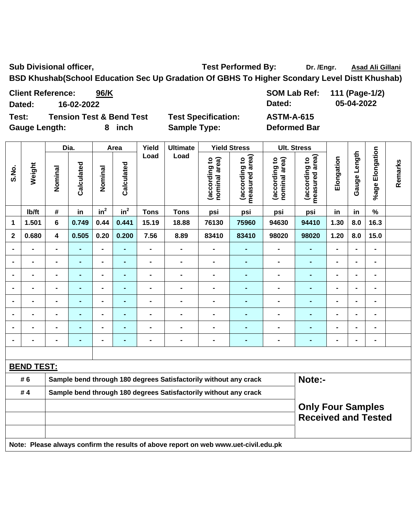Sub Divisional officer, **Test Performed By:** Dr. /Engr. Asad Ali Gillani Company of Test Performed By:

**BSD Khushab(School Education Sec Up Gradation Of GBHS To Higher Scondary Level Distt Khushab)** 

Client Reference: 96/K 3000 SOM Lab Ref: 111 (Page-1/2) **Dated: 16-02-2022 Dated: 05-04-2022** 

**Test: Tension Test & Bend Test Test Specification: ASTM-A-615**  Gauge Length: 8 inch Sample Type: Deformed Bar

|                |                   |                                                                                     | Dia.           |                 | Area            | Yield          | <b>Ultimate</b>                                                  |                                | <b>Yield Stress</b>             |                                | <b>Ult. Stress</b>                                     |                |                |                    |         |
|----------------|-------------------|-------------------------------------------------------------------------------------|----------------|-----------------|-----------------|----------------|------------------------------------------------------------------|--------------------------------|---------------------------------|--------------------------------|--------------------------------------------------------|----------------|----------------|--------------------|---------|
| S.No.          | Weight            | Nominal                                                                             | Calculated     | Nominal         | Calculated      | Load           | Load                                                             | nominal area)<br>(according to | measured area)<br>(according to | nominal area)<br>(according to | measured area)<br>(according to                        | Elongation     | Gauge Length   | Elongation<br>%age | Remarks |
|                | lb/ft             | $\#$                                                                                | in             | in <sup>2</sup> | in <sup>2</sup> | <b>Tons</b>    | <b>Tons</b>                                                      | psi                            | psi                             | psi                            | psi                                                    | in             | in             | $\%$               |         |
| 1              | 1.501             | $\bf 6$                                                                             | 0.749          | 0.44            | 0.441           | 15.19          | 18.88                                                            | 76130                          | 75960                           | 94630                          | 94410                                                  | 1.30           | 8.0            | 16.3               |         |
| $\mathbf{2}$   | 0.680             | 4                                                                                   | 0.505          | 0.20            | 0.200           | 7.56           | 8.89                                                             | 83410                          | 83410                           | 98020                          | 98020                                                  | 1.20           | 8.0            | 15.0               |         |
|                |                   | $\overline{a}$                                                                      | $\blacksquare$ | $\overline{a}$  | ÷.              | $\overline{a}$ | $\blacksquare$                                                   | $\overline{a}$                 | L.                              | $\blacksquare$                 | L.                                                     | $\overline{a}$ | L.             | $\blacksquare$     |         |
|                |                   |                                                                                     | -              | $\blacksquare$  | $\blacksquare$  | $\blacksquare$ | $\blacksquare$                                                   | $\blacksquare$                 | $\blacksquare$                  | $\blacksquare$                 | $\blacksquare$                                         | $\blacksquare$ |                |                    |         |
|                |                   | $\blacksquare$                                                                      | $\blacksquare$ | $\blacksquare$  |                 | $\blacksquare$ | $\blacksquare$                                                   | $\blacksquare$                 | $\blacksquare$                  | $\blacksquare$                 | $\blacksquare$                                         | $\blacksquare$ | $\blacksquare$ | $\blacksquare$     |         |
| $\blacksquare$ |                   | $\overline{\phantom{0}}$                                                            |                | $\blacksquare$  | $\blacksquare$  | $\blacksquare$ | $\blacksquare$                                                   | $\blacksquare$                 | $\blacksquare$                  | $\blacksquare$                 | $\blacksquare$                                         | $\blacksquare$ | $\blacksquare$ | $\blacksquare$     |         |
| $\blacksquare$ | $\blacksquare$    | $\overline{\phantom{0}}$                                                            | -              | $\blacksquare$  | Ē,              | $\blacksquare$ | $\blacksquare$                                                   | $\blacksquare$                 | ۰                               | $\blacksquare$                 | ۰                                                      | $\blacksquare$ | $\blacksquare$ | $\blacksquare$     |         |
|                | $\blacksquare$    | $\overline{\phantom{0}}$                                                            | -              | $\blacksquare$  | $\blacksquare$  | $\blacksquare$ | $\blacksquare$                                                   | $\blacksquare$                 | $\blacksquare$                  | $\blacksquare$                 | $\blacksquare$                                         | $\blacksquare$ | $\blacksquare$ | $\blacksquare$     |         |
|                | $\blacksquare$    | $\overline{\phantom{0}}$                                                            | ä,             | $\blacksquare$  | ÷,              | $\blacksquare$ | $\blacksquare$                                                   | $\blacksquare$                 | $\blacksquare$                  | $\blacksquare$                 | ÷,                                                     | $\blacksquare$ | $\overline{a}$ | $\blacksquare$     |         |
|                | $\blacksquare$    | $\overline{\phantom{0}}$                                                            | $\blacksquare$ | $\blacksquare$  | Ē.              | $\blacksquare$ | $\blacksquare$                                                   | $\blacksquare$                 | $\blacksquare$                  | $\blacksquare$                 | $\blacksquare$                                         | $\blacksquare$ |                | $\blacksquare$     |         |
|                |                   |                                                                                     |                |                 |                 |                |                                                                  |                                |                                 |                                |                                                        |                |                |                    |         |
|                | <b>BEND TEST:</b> |                                                                                     |                |                 |                 |                |                                                                  |                                |                                 |                                |                                                        |                |                |                    |         |
|                | # 6               |                                                                                     |                |                 |                 |                | Sample bend through 180 degrees Satisfactorily without any crack |                                |                                 |                                | Note:-                                                 |                |                |                    |         |
|                | #4                |                                                                                     |                |                 |                 |                | Sample bend through 180 degrees Satisfactorily without any crack |                                |                                 |                                |                                                        |                |                |                    |         |
|                |                   |                                                                                     |                |                 |                 |                |                                                                  |                                |                                 |                                | <b>Only Four Samples</b><br><b>Received and Tested</b> |                |                |                    |         |
|                |                   | Note: Please always confirm the results of above report on web www.uet-civil.edu.pk |                |                 |                 |                |                                                                  |                                |                                 |                                |                                                        |                |                |                    |         |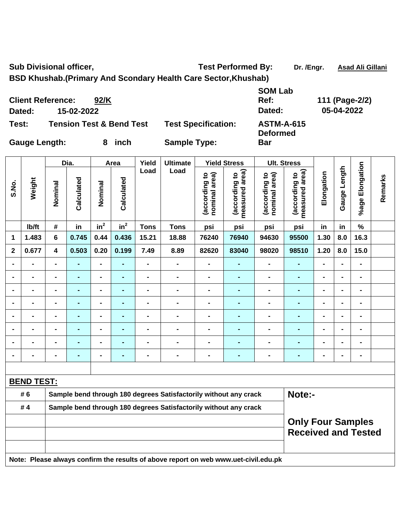Sub Divisional officer, **Test Performed By:** Dr. /Engr. Asad Ali Gillani

**BSD Khushab.(Primary And Scondary Health Care Sector,Khushab)** 

**Client Reference: 92/K SOM Lab Ref: 111 (Page-2/2) Dated: 15-02-2022 Dated: 05-04-2022 Test: Tension Test & Bend Test Test Specification: ASTM-A-615** 

**Deformed Bar** 

**Gauge Length: 8 inch Sample Type:** 

Dia. | Area | Yield | Ultimate | Yield Stress | Ult. Stress **%age Elongation**  %age Elongation **Gauge Length**  Gauge Length **Load Load measured area) measured area)**  (according to<br>nominal area) (according to<br>nominal area) (according to<br>measured area) (according to<br>measured area) **Elongation (according to nominal area) (according to (according to nominal area) (according to**  Elongation **Remarks**  Remarks **Calculated Calculated Weight**  Calculated Calculated **S.No. Nominal Nominal**  Nominal Nominal  $\mathsf{lb}/\mathsf{ft}$  # in in<sup>2</sup>  $in<sup>2</sup>$  **Tons Tons psi psi psi psi in in % 1 1.483 6 0.745 0.44 0.436 15.21 18.88 76240 76940 94630 95500 1.30 8.0 16.3 2 0.677 4 0.503 0.20 0.199 7.49 8.89 82620 83040 98020 98510 1.20 8.0 15.0 - - - - - - - - - - - - - - - - - - - - - - - - - - - - - - - - - - - - - - - - - - - - - - - - - - - - - - - - - - - - - - - - - - - - - - - - - - - - - - - - - - - - - - - - - - - - - - - - - - - - - - - - - - - - - - - - - - - - - - - - BEND TEST:** #6 Sample bend through 180 degrees Satisfactorily without any crack **Note:-# 4 Sample bend through 180 degrees Satisfactorily without any crack** 

## **Only Four Samples Received and Tested**

**Note: Please always confirm the results of above report on web www.uet-civil.edu.pk**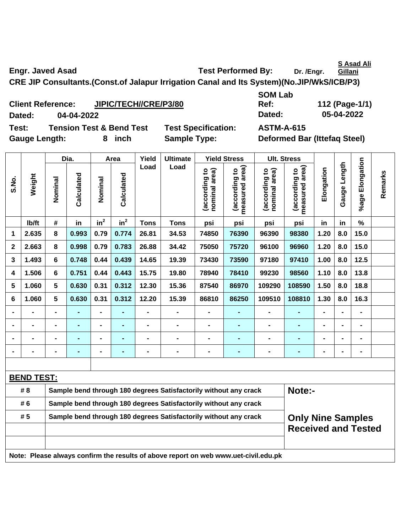**S Asad Ali** 

Engr. Javed Asad **Test Performed By:** Dr. /Engr. **Gillani CRE JIP Consultants.(Const.of Jalapur Irrigation Canal and Its System)(No.JIP/WkS/ICB/P3)** 

**Client Reference: JIPIC/TECH//CRE/P3/80 Dated: 04-04-2022 Dated: 05-04-2022 Test: Tension Test & Bend Test Test Specification: ASTM-A-615** 

Gauge Length: 8 inch Sample Type: Deformed Bar (Ittefaq Steel)

**Ref: 112 (Page-1/1)** 

**SOM Lab** 

|              |                   |                                                                            | Dia.           |                | Area       | Yield          | <b>Ultimate</b>                                                                     |                                | <b>Yield Stress</b>                         |                                | <b>Ult. Stress</b>                                     |                |                |                 |         |  |
|--------------|-------------------|----------------------------------------------------------------------------|----------------|----------------|------------|----------------|-------------------------------------------------------------------------------------|--------------------------------|---------------------------------------------|--------------------------------|--------------------------------------------------------|----------------|----------------|-----------------|---------|--|
| S.No.        | Weight            | Nominal                                                                    | Calculated     | Nominal        | Calculated | Load           | Load                                                                                | (according to<br>nominal area) | (according to<br>measured area)<br>measured | (according to<br>nominal area) | measured area)<br>(according to                        | Elongation     | Gauge Length   | %age Elongation | Remarks |  |
|              | lb/ft             | #                                                                          | in             | $in^2$         | $in^2$     | <b>Tons</b>    | <b>Tons</b>                                                                         | psi                            | psi                                         | psi                            | psi                                                    | in             | in             | $\%$            |         |  |
| 1            | 2.635             | 8                                                                          | 0.993          | 0.79           | 0.774      | 26.81          | 34.53                                                                               | 74850                          | 76390                                       | 96390                          | 98380                                                  | 1.20           | 8.0            | 15.0            |         |  |
| $\mathbf{2}$ | 2.663             | 8                                                                          | 0.998          | 0.79           | 0.783      | 26.88          | 34.42                                                                               | 75050                          | 75720                                       | 96100                          | 96960                                                  | 1.20           | 8.0            | 15.0            |         |  |
| 3            | 1.493             | 6                                                                          | 0.748          | 0.44           | 0.439      | 14.65          | 19.39                                                                               | 73430                          | 73590                                       | 97180                          | 97410                                                  | 1.00           | 8.0            | 12.5            |         |  |
| 4            | 1.506             | 6                                                                          | 0.751          | 0.44           | 0.443      | 15.75          | 19.80                                                                               | 78940                          | 78410                                       | 99230                          | 98560                                                  | 1.10           | 8.0            | 13.8            |         |  |
| 5            | 1.060             | 5                                                                          | 0.630          | 0.31           | 0.312      | 12.30          | 15.36                                                                               | 87540                          | 86970                                       | 109290                         | 108590                                                 | 1.50           | 8.0            | 18.8            |         |  |
| 6            | 1.060             | 5                                                                          | 0.630          | 0.31           | 0.312      | 12.20          | 15.39                                                                               | 86810                          | 86250                                       | 109510                         | 108810                                                 | 1.30           | 8.0            | 16.3            |         |  |
|              |                   |                                                                            |                | $\blacksquare$ |            | $\blacksquare$ |                                                                                     |                                |                                             |                                |                                                        |                |                |                 |         |  |
|              | $\blacksquare$    |                                                                            | $\blacksquare$ | $\blacksquare$ | ۰          | $\blacksquare$ | $\blacksquare$                                                                      | $\blacksquare$                 | -                                           | $\blacksquare$                 | $\blacksquare$                                         | ۰              |                | $\blacksquare$  |         |  |
|              | $\blacksquare$    |                                                                            | $\blacksquare$ | $\blacksquare$ | ۰          | $\blacksquare$ | $\blacksquare$                                                                      | $\blacksquare$                 | ۰                                           | $\blacksquare$                 | $\blacksquare$                                         | $\blacksquare$ | $\blacksquare$ | $\blacksquare$  |         |  |
|              |                   | $\blacksquare$                                                             | -              | $\blacksquare$ | ٠          | -              | $\blacksquare$                                                                      | $\blacksquare$                 | $\blacksquare$                              | $\blacksquare$                 | $\blacksquare$                                         | $\blacksquare$ | $\blacksquare$ | $\blacksquare$  |         |  |
|              |                   |                                                                            |                |                |            |                |                                                                                     |                                |                                             |                                |                                                        |                |                |                 |         |  |
|              | <b>BEND TEST:</b> |                                                                            |                |                |            |                |                                                                                     |                                |                                             |                                |                                                        |                |                |                 |         |  |
|              | # 8               | Sample bend through 180 degrees Satisfactorily without any crack<br>Note:- |                |                |            |                |                                                                                     |                                |                                             |                                |                                                        |                |                |                 |         |  |
|              | # 6               |                                                                            |                |                |            |                | Sample bend through 180 degrees Satisfactorily without any crack                    |                                |                                             |                                |                                                        |                |                |                 |         |  |
|              | #5                |                                                                            |                |                |            |                | Sample bend through 180 degrees Satisfactorily without any crack                    |                                |                                             |                                | <b>Only Nine Samples</b><br><b>Received and Tested</b> |                |                |                 |         |  |
|              |                   |                                                                            |                |                |            |                |                                                                                     |                                |                                             |                                |                                                        |                |                |                 |         |  |
|              |                   |                                                                            |                |                |            |                | Note: Please always confirm the results of above report on web www.uet-civil.edu.pk |                                |                                             |                                |                                                        |                |                |                 |         |  |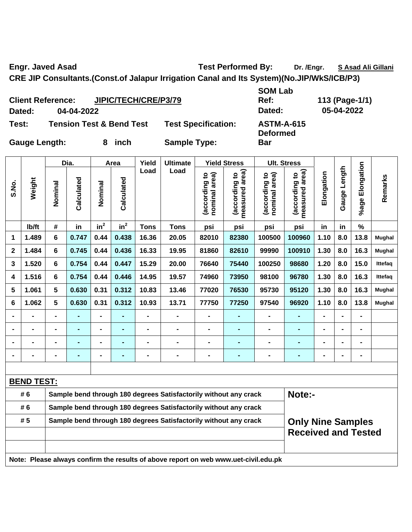Engr. Javed Asad **Test Performed By:** Dr. /Engr. S. Asad Ali Gillani

**CRE JIP Consultants.(Const.of Jalapur Irrigation Canal and Its System)(No.JIP/WkS/ICB/P3)** 

|        | <b>Client Reference:</b> | <b>JIPIC/TECH/CRE/P3/79</b>         |                            |
|--------|--------------------------|-------------------------------------|----------------------------|
| Dated: | 04-04-2022               |                                     |                            |
| Test:  |                          | <b>Tension Test &amp; Bend Test</b> | <b>Test Specification:</b> |

**SOM Lab Dated: 04-04-2022 Dated: 05-04-2022 Test: Tension Test & Bend Test Test Specification: ASTM-A-615** 

**Deformed** 

**Bar** 

**Ref: 113 (Page-1/1)** 

Gauge Length: 8 inch Sample Type:

**Dia. Area Yield Ultimate Yield Stress Ult. Stress** 

|                |                                                                                     |                                                                  | Dia.           |                 | Area           | Yield          | <b>Ultimate</b>                                                  | <b>Yield Stress</b>            |                                 | <b>Ult. Stress</b>             |                                             |                |                |                          |                |
|----------------|-------------------------------------------------------------------------------------|------------------------------------------------------------------|----------------|-----------------|----------------|----------------|------------------------------------------------------------------|--------------------------------|---------------------------------|--------------------------------|---------------------------------------------|----------------|----------------|--------------------------|----------------|
| S.No.          | Weight                                                                              | Nominal                                                          | Calculated     | Nominal         | Calculated     | Load           | Load                                                             | (according to<br>nominal area) | measured area)<br>(according to | (according to<br>nominal area) | (according to<br>measured area)<br>measured | Elongation     | Gauge Length   | %age Elongation          | Remarks        |
|                | lb/ft                                                                               | #                                                                | in             | in <sup>2</sup> | $in^2$         | <b>Tons</b>    | <b>Tons</b>                                                      | psi                            | psi                             | psi                            | psi                                         | in             | in             | $\%$                     |                |
| 1              | 1.489                                                                               | 6                                                                | 0.747          | 0.44            | 0.438          | 16.36          | 20.05                                                            | 82010                          | 82380                           | 100500                         | 100960                                      | 1.10           | 8.0            | 13.8                     | Mughal         |
| $\mathbf{2}$   | 1.484                                                                               | 6                                                                | 0.745          | 0.44            | 0.436          | 16.33          | 19.95                                                            | 81860                          | 82610                           | 99990                          | 100910                                      | 1.30           | 8.0            | 16.3                     | Mughal         |
| 3              | 1.520                                                                               | 6                                                                | 0.754          | 0.44            | 0.447          | 15.29          | 20.00                                                            | 76640                          | 75440                           | 100250                         | 98680                                       | 1.20           | 8.0            | 15.0                     | <b>Ittefag</b> |
| 4              | 1.516                                                                               | 6                                                                | 0.754          | 0.44            | 0.446          | 14.95          | 19.57                                                            | 74960                          | 73950                           | 98100                          | 96780                                       | 1.30           | 8.0            | 16.3                     | <b>Ittefag</b> |
| 5              | 1.061                                                                               | 5                                                                | 0.630          | 0.31            | 0.312          | 10.83          | 13.46                                                            | 77020                          | 76530                           | 95730                          | 95120                                       | 1.30           | 8.0            | 16.3                     | Mughal         |
| 6              | 1.062                                                                               | 5                                                                | 0.630          | 0.31            | 0.312          | 10.93          | 13.71                                                            | 77750                          | 77250                           | 97540                          | 96920                                       | 1.10           | 8.0            | 13.8                     | Mughal         |
|                |                                                                                     |                                                                  | ÷,             | Ξ.              | ä,             | $\blacksquare$ | -                                                                |                                | $\blacksquare$                  | $\blacksquare$                 |                                             | L,             | $\blacksquare$ | $\overline{\phantom{0}}$ |                |
| $\blacksquare$ | $\blacksquare$                                                                      | $\blacksquare$                                                   | ÷,             | $\blacksquare$  | $\blacksquare$ | $\blacksquare$ | $\blacksquare$                                                   | $\blacksquare$                 | $\blacksquare$                  | $\blacksquare$                 | $\blacksquare$                              | L,             | $\blacksquare$ | $\blacksquare$           |                |
|                | $\blacksquare$                                                                      | L,                                                               | $\blacksquare$ | $\blacksquare$  | $\blacksquare$ | $\blacksquare$ | $\blacksquare$                                                   | $\blacksquare$                 | $\blacksquare$                  | $\blacksquare$                 | $\blacksquare$                              | $\blacksquare$ | $\blacksquare$ | $\blacksquare$           |                |
|                | $\blacksquare$                                                                      | $\blacksquare$                                                   | ۰              | $\blacksquare$  | ۰              | $\blacksquare$ | $\blacksquare$                                                   | $\blacksquare$                 | $\blacksquare$                  | $\blacksquare$                 | $\blacksquare$                              | $\blacksquare$ | $\blacksquare$ | $\blacksquare$           |                |
|                |                                                                                     |                                                                  |                |                 |                |                |                                                                  |                                |                                 |                                |                                             |                |                |                          |                |
|                | <b>BEND TEST:</b>                                                                   |                                                                  |                |                 |                |                |                                                                  |                                |                                 |                                |                                             |                |                |                          |                |
|                | #6                                                                                  |                                                                  |                |                 |                |                | Sample bend through 180 degrees Satisfactorily without any crack |                                |                                 |                                | Note:-                                      |                |                |                          |                |
|                | #6                                                                                  | Sample bend through 180 degrees Satisfactorily without any crack |                |                 |                |                |                                                                  |                                |                                 |                                |                                             |                |                |                          |                |
|                | #5                                                                                  |                                                                  |                |                 |                |                | Sample bend through 180 degrees Satisfactorily without any crack |                                |                                 | <b>Only Nine Samples</b>       |                                             |                |                |                          |                |
|                |                                                                                     |                                                                  |                |                 |                |                |                                                                  | <b>Received and Tested</b>     |                                 |                                |                                             |                |                |                          |                |
|                |                                                                                     |                                                                  |                |                 |                |                |                                                                  |                                |                                 |                                |                                             |                |                |                          |                |
|                | Note: Please always confirm the results of above report on web www.uet-civil.edu.pk |                                                                  |                |                 |                |                |                                                                  |                                |                                 |                                |                                             |                |                |                          |                |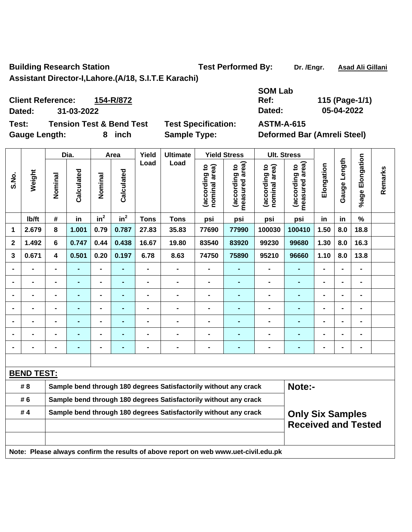**Building Research Station Test Performed By:** Dr. /Engr. Asad Ali Gillani **Assistant Director-I,Lahore.(A/18, S.I.T.E Karachi)** 

**Remarks** 

Remarks

**Client Reference: 154-R/872 Dated: 31-03-2022 Dated: 05-04-2022** 

Gauge Length: **8** inch Sample Type: Deformed Bar (Amreli Steel)

**S.No.** 

**Weight** 

**Test: Tension Test & Bend Test Test Specification: ASTM-A-615** 

**SOM Lab Ref: 115 (Page-1/1)** 

Dia. | Area | Yield | Ultimate | Yield Stress | Ult. Stress **%age Elongation**  %age Elongation **Gauge Length**  Gauge Length **Load Load measured area) measured area)**  (according to<br>nominal area) (according to<br>nominal area) **Elongation nominal area)**  (according to<br>measured area) **nominal area)**  (according to<br>measured area) **(according to (according to (according to (according to**  Elongation **Calculated Calculated**  Calculated Calculated **Nominal Nominal**  Vominal Nominal  $\mathsf{lib/ft}$  # in in<sup>2</sup>  $in^2$  **Tons Tons psi psi psi psi in in % 1 2.679 8 1.001 0.79 0.787 27.83 35.83 77690 77990 100030 100410 1.50 8.0 18.8 2 1.492 6 0.747 0.44 0.438 16.67 19.80 83540 83920 99230 99680 1.30 8.0 16.3 3 0.671 4 0.501 0.20 0.197 6.78 8.63 74750 75890 95210 96660 1.10 8.0 13.8 - - - - - - - - - - - - - - - - - - - - - - - - - - - - - - - - - - - - - - - - - - - - - - - - - - - - - - - - - - - - - - - - - - - - - - - - - - - - - - - - - - - - - - - - - -** 

**BEND TEST:** #8 Sample bend through 180 degrees Satisfactorily without any crack **Note:-# 6 Sample bend through 180 degrees Satisfactorily without any crack Only Six Samples Received and Tested # 4 Sample bend through 180 degrees Satisfactorily without any crack Note: Please always confirm the results of above report on web www.uet-civil.edu.pk** 

**- - - - - - - - - - - - - - -**